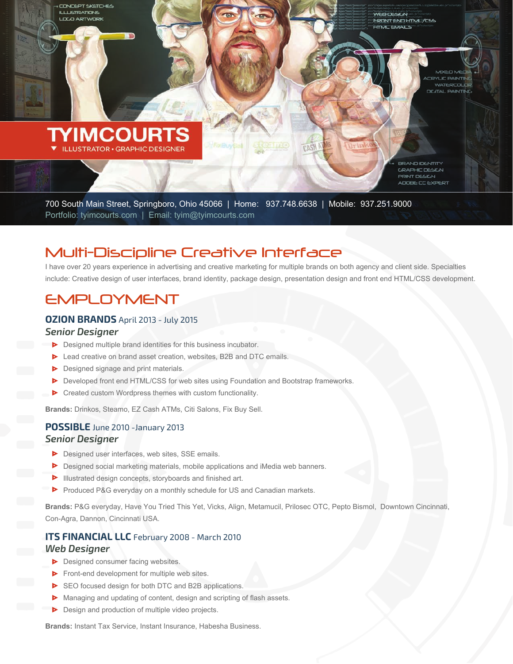

700 South Main Street, Springboro, Ohio 45066 | Home: 937.748.6638 | Mobile: 937.251.9000 Portfolio: tyimcourts.com | Email: tyim@tyimcourts.com

## Multi-Discipline Creative Interface

I have over 20 years experience in advertising and creative marketing for multiple brands on both agency and client side. Specialties include: Creative design of user interfaces, brand identity, package design, presentation design and front end HTML/CSS development.

## EMPLOYMENT

### **OZION BRANDS** April 2013 - July 2015

#### *Senior Designer*

- **Designed multiple brand identities for this business incubator.**
- ▶ Lead creative on brand asset creation, websites, B2B and DTC emails.
- **Designed signage and print materials.**
- Developed front end HTML/CSS for web sites using Foundation and Bootstrap frameworks.
- Created custom Wordpress themes with custom functionality.

**Brands:** Drinkos, Steamo, EZ Cash ATMs, Citi Salons, Fix Buy Sell.

### **POSSIBLE** June 2010 -January 2013

#### *Senior Designer*

- **Designed user interfaces, web sites, SSE emails.**
- Designed social marketing materials, mobile applications and iMedia web banners.
- Illustrated design concepts, storyboards and finished art.
- Produced P&G everyday on a monthly schedule for US and Canadian markets.

**Brands:** P&G everyday, Have You Tried This Yet, Vicks, Align, Metamucil, Prilosec OTC, Pepto Bismol, Downtown Cincinnati, Con-Agra, Dannon, Cincinnati USA.

### **ITS FINANCIAL LLC** February 2008 - March 2010 *Web Designer*

- **Designed consumer facing websites.**
- **Front-end development for multiple web sites.**
- SEO focused design for both DTC and B2B applications.
- Managing and updating of content, design and scripting of flash assets.
- **D** Design and production of multiple video projects.

**Brands:** Instant Tax Service, Instant Insurance, Habesha Business.